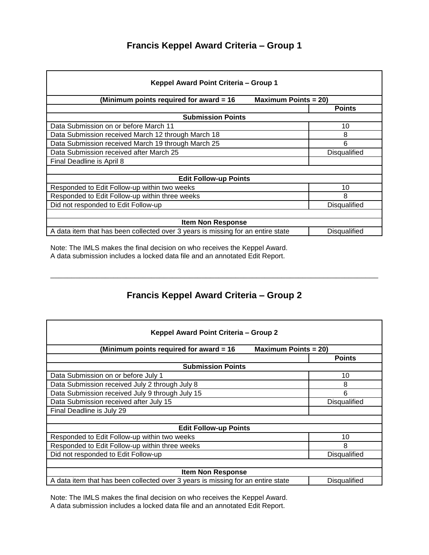## **Francis Keppel Award Criteria – Group 1**

| Keppel Award Point Criteria - Group 1                                           |                         |  |
|---------------------------------------------------------------------------------|-------------------------|--|
| (Minimum points required for award = 16                                         | Maximum Points $= 20$ ) |  |
|                                                                                 | <b>Points</b>           |  |
| <b>Submission Points</b>                                                        |                         |  |
| Data Submission on or before March 11                                           | 10                      |  |
| Data Submission received March 12 through March 18                              | 8                       |  |
| Data Submission received March 19 through March 25                              | 6                       |  |
| Data Submission received after March 25                                         | Disqualified            |  |
| Final Deadline is April 8                                                       |                         |  |
|                                                                                 |                         |  |
| <b>Edit Follow-up Points</b>                                                    |                         |  |
| Responded to Edit Follow-up within two weeks                                    | 10                      |  |
| Responded to Edit Follow-up within three weeks                                  | 8                       |  |
| Did not responded to Edit Follow-up                                             | Disqualified            |  |
|                                                                                 |                         |  |
| <b>Item Non Response</b>                                                        |                         |  |
| A data item that has been collected over 3 years is missing for an entire state | Disqualified            |  |

Note: The IMLS makes the final decision on who receives the Keppel Award. A data submission includes a locked data file and an annotated Edit Report.

## **Francis Keppel Award Criteria – Group 2**

\_\_\_\_\_\_\_\_\_\_\_\_\_\_\_\_\_\_\_\_\_\_\_\_\_\_\_\_\_\_\_\_\_\_\_\_\_\_\_\_\_\_\_\_\_\_\_\_\_\_\_\_\_\_\_\_\_\_\_\_\_\_\_\_\_\_\_\_\_\_\_\_\_\_\_\_\_\_

| Keppel Award Point Criteria - Group 2                                           |                         |  |
|---------------------------------------------------------------------------------|-------------------------|--|
| (Minimum points required for award = 16                                         | Maximum Points = $20$ ) |  |
|                                                                                 | <b>Points</b>           |  |
| <b>Submission Points</b>                                                        |                         |  |
| Data Submission on or before July 1                                             | 10                      |  |
| Data Submission received July 2 through July 8                                  | 8                       |  |
| Data Submission received July 9 through July 15                                 | 6                       |  |
| Data Submission received after July 15                                          | Disqualified            |  |
| Final Deadline is July 29                                                       |                         |  |
|                                                                                 |                         |  |
| <b>Edit Follow-up Points</b>                                                    |                         |  |
| Responded to Edit Follow-up within two weeks                                    | 10                      |  |
| Responded to Edit Follow-up within three weeks                                  | 8                       |  |
| Did not responded to Edit Follow-up                                             | <b>Disqualified</b>     |  |
|                                                                                 |                         |  |
| <b>Item Non Response</b>                                                        |                         |  |
| A data item that has been collected over 3 years is missing for an entire state | Disqualified            |  |

Note: The IMLS makes the final decision on who receives the Keppel Award. A data submission includes a locked data file and an annotated Edit Report.